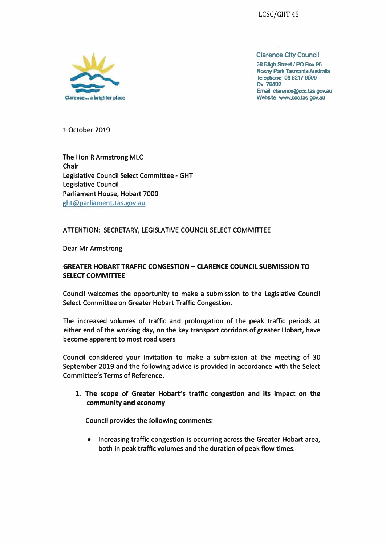

Clarence City Council

**38 Bligh Street / PO Box 96 Rosny Pane Tasmania Australia TelephOne 03 6217 9500 Ox 70402 Email clarence@ccc.tas.gov.au**  Website www.ccc.tas.gov.au

**1 October 2019** 

**The Hon R Armstrong MLC Chair Legislative Council Select Committee - GHT Legislative Council Parliament House, Hobart 7000 ght@parliament.tas.gov.au** 

#### **ATTENTION: SECRETARY, LEGISLATIVE COUNCIL SELECT COMMITTEE**

**Dear Mr Armstrong** 

### **GREATER HOBART TRAFFIC CONGESTION - CLARENCE COUNCIL SUBMISSION TO SELECT COMMITTEE**

**Council welcomes the opportunity to make a submission to the Legislative Council Select Committee on Greater Hobart Traffic Congestion.** 

**The increased volumes of traffic and prolongation of the peak traffic periods at either end of the working day, on the key transport corridors of greater Hobart, have become apparent to most road users.** 

**Council considered your invitation to make a submission at the meeting of 30 September 2019 and the following advice is provided in accordance with the Select Committee's Terms of Reference.** 

**1. The scope of Greater Hobart's traffic congestion and its impact on the community and economy**

**Council provides the following comments:**

**• Increasing traffic congestion is occurring across the Greater Hobart area, both in peak traffic volumes and the duration of peak flow times.**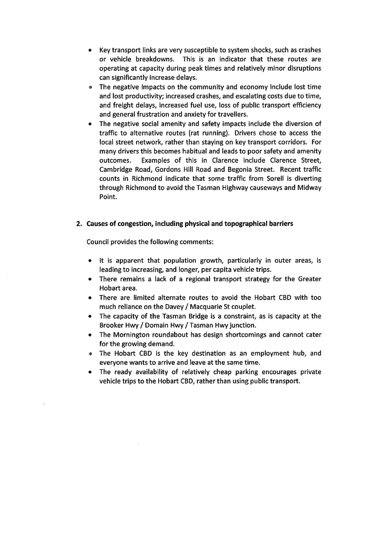- Key transport links are very susceptible to system shocks, such as crashes or vehicle breakdowns. This is an indicator that these routes are operating at capacity during peak times and relatively minor disruptions can significantly increase delays.
- The negative impacts on the community and economy include lost time and lost productivity; increased crashes, and escalating costs due to time, and freight delays, increased fuel use, loss of public transport efficiency and general frustration and anxiety for travellers.
- The negative social amenity and safety impacts include the diversion of traffic to alternative routes (rat running). Drivers chose to access the local street network, rather than staying on key transport corridors. For many drivers this becomes habitual and leads to poor safety and amenity outcomes. Examples of this in Clarence include Clarence Street, Cambridge Road, Gordons Hill Road and Begonia Street. Recent traffic counts in Richmond indicate that some traffic from Sorell is diverting through Richmond to avoid the Tasman Highway causeways and Midway Point.

### 2. Causes of congestion, including physical and topographical barriers

Council provides the following comments:

- It is apparent that population growth, particularly in outer areas, is leading to increasing, and longer, per capita vehicle trips.
- There remains a lack of a regional transport strategy for the Greater Hobart area.
- There are limited alternate routes to avoid the Hobart CBD with too much reliance on the Davey / Macquarie St couplet.
- The capacity of the Tasman Bridge is a constraint, as is capacity at the Brooker Hwy / Domain Hwy / Tasman Hwy junction.
- The Mornington roundabout has design shortcomings and cannot cater for the growing demand.
- The Hobart CBD is the key destination as an employment hub, and everyone wants to arrive and leave at the same time.
- The ready availability of relatively cheap parking encourages private vehicle trips to the Hobart CBD, rather than using public transport.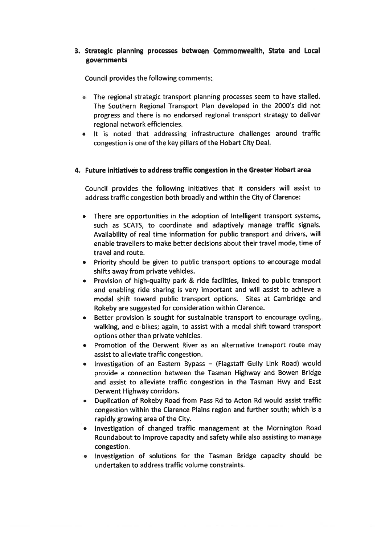# 3. Strategic planning processes between Commonwealth, State and Local governments

Council provides the following comments:

- The regional strategic transport planning processes seem to have stalled. The Southern Regional Transport Plan developed in the 2000's did not progress and there is no endorsed regional transport strategy to deliver regional network efficiencies.
- It is noted that addressing infrastructure challenges around traffic congestion is one of the key pillars of the Hobart City Deal.

### 4. Future initiatives to address traffic congestion in the Greater Hobart area

Council provides the following initiatives that it considers will assist to address traffic congestion both broadly and within the City of Clarence:

- There are opportunities in the adoption of Intelligent transport systems, such as SCATS, to coordinate and adaptively manage traffic signals. Availability of real time information for public transport and drivers, will enable travellers to make better decisions about their travel mode, time of travel and route.
- Priority should be given to public transport options to encourage modal shifts away from private vehicles.
- Provision of high-quality park & ride facilities, linked to public transport and enabling ride sharing is very important and will assist to achieve a modal shift toward public transport options. Sites at Cambridge and Rokeby are suggested for consideration within Clarence.
- Better provision is sought for sustainable transport to encourage cycling, walking, and e-bikes; again, to assist with a modal shift toward transport options other than private vehicles.
- Promotion of the Derwent River as an alternative transport route may assist to alleviate traffic congestion.
- Investigation of an Eastern Bypass  $-$  (Flagstaff Gully Link Road) would provide a connection between the Tasman Highway and Bowen Bridge and assist to alleviate traffic congestion in the Tasman Hwy and East Derwent Highway corridors.
- Duplication of Rokeby Road from Pass Rd to Acton Rd would assist traffic congestion within the Clarence Plains region and further south; which is a rapidly growing area of the City.
- Investigation of changed traffic management at the Mornington Road Roundabout to improve capacity and safety while also assisting to manage congestion.
- investigation of solutions for the Tasman Bridge capacity should be undertaken to address traffic volume constraints.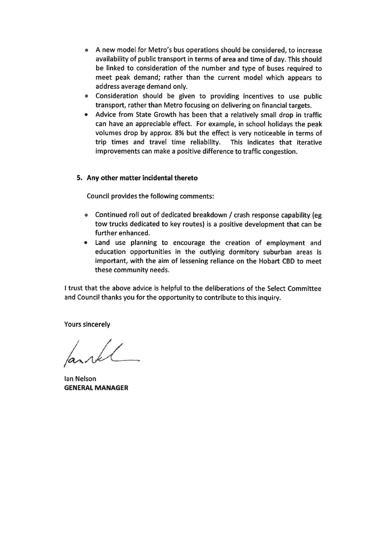- A new model for Metro's bus operations should be considered, to increase availability of public transport in terms of area and time of day. This should be linked to consideration of the number and type of buses required to meet peak demand; rather than the current model which appears to address average demand only.
- Consideration should be given to providing incentives to use public transport, rather than Metro focusing on delivering on financial targets.
- Advice from State Growth has been that a relatively small drop in traffic can have an appreciable effect. For example, in school holidays the peak volumes drop by approx. 8% but the effect is very noticeable in terms of trip times and travel time reliability. This indicates that iterative trip times and travel time reliability. improvements can make a positive difference to traffic congestion.

# 5. Any other matter incidental thereto

Council provides the following comments:

- Continued roll out of dedicated breakdown / crash response capability (eg tow trucks dedicated to key routes) is a positive development that can be further enhanced.
- Land use planning to encourage the creation of employment and education opportunities in the outlying dormitory suburban areas is important, with the aim of lessening reliance on the Hobart CBD to meet these community needs.

I trust that the above advice is helpful to the deliberations of the Select Committee and Council thanks you for the opportunity to contribute to this inquiry.

Yours sincerely

I.

Ian Nelson GENERAL MANAGER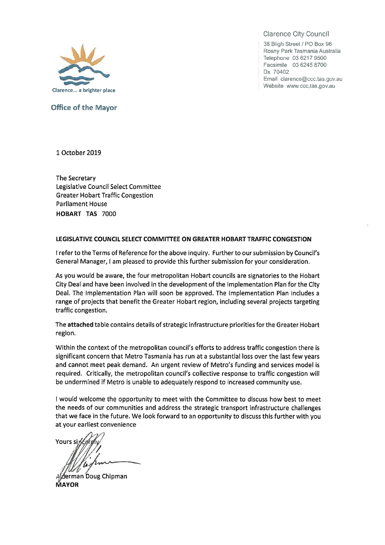

ffice of the Mayor

Clarence City Council

38 Bligh Street / PO Box 96 Rosny Park Tasmania Australia Telephone 03 6217 9500 Facsimile 0362458700 Dx 70402 Email clarence@ccc.tas.gov.au Website www.ccc.tas.gov.au

I October 2019

The Secretary Legislative Council Select Committee Greater Hobart Traffic Congestion Parliament House HOBART TAS 7000

#### LEGISLATIVE COUNCIL SELECT COMMITTEE ON GREATER HOBART TRAFFIC CONGESTION

I refer to the Terms of Reference for the above inquiry. Further to our submission by Council's General Manager, I am pleased to provide this further submission for your consideration.

As you would be aware, the four metropolitan Hobart councils are signatories to the Hobart City Dealand have been involved in the development of the implementation Plan for the City Deal. The Implementation Plan will soon be approved. The Implementation Plan includes a range of projects that benefit the Greater Hobart region, including several projects targeting traffic congestion.

The attached table contains details of strategicinfrastructure priorities for the Greater Hobart region.

Within the context of the metropolitan council's efforts to address traffic congestion there is significant concern that Metro Tasmania has run at a substantial loss over the last few years and cannot meet peak demand. An urgent review of Metro's funding and services model is required. CriticalIy, the metropolitan council's collective response to traffic congestion will be undermined if Metro is unable to adequately respond to increased community use.

I would welcome the opportunity to meet with the Committee to discuss how best to meet the needs of our communities and address the strategic transport infrastructure challenges that we face in the future. We look forward to an opportunity to discuss this further with you at your earliest convenience

**Yours s**  $\sqrt{N}$ 

Alderman Doug Chipman **MAYOR**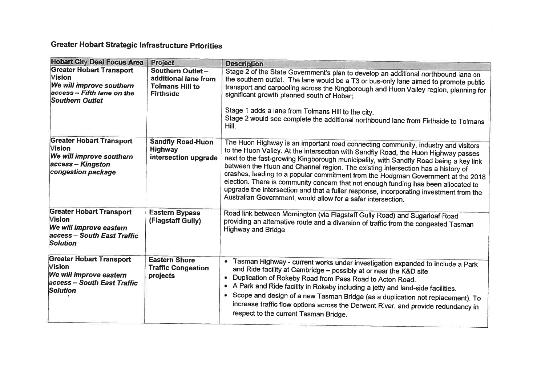# Greater Hobart Strategic infrastructure Priorities

| <b>Hobart City Deal Focus Area</b> | <b>Project</b>            | <b>Description</b>                                                                                                                                                          |
|------------------------------------|---------------------------|-----------------------------------------------------------------------------------------------------------------------------------------------------------------------------|
| <b>Greater Hobart Transport</b>    | Southern Outlet -         |                                                                                                                                                                             |
| Vision                             | additional lane from      | Stage 2 of the State Government's plan to develop an additional northbound lane on                                                                                          |
| We will improve southern           | <b>Tolmans Hill to</b>    | the southern outlet. The lane would be a T3 or bus-only lane aimed to promote public                                                                                        |
| access - Fifth lane on the         | <b>Firthside</b>          | transport and carpooling across the Kingborough and Huon Valley region, planning for<br>significant growth planned south of Hobart.                                         |
| <b>Southern Outlet</b>             |                           |                                                                                                                                                                             |
|                                    |                           |                                                                                                                                                                             |
|                                    |                           | Stage 1 adds a lane from Tolmans Hill to the city.                                                                                                                          |
|                                    |                           | Stage 2 would see complete the additional northbound lane from Firthside to Tolmans<br>Hill.                                                                                |
| <b>Greater Hobart Transport</b>    | <b>Sandfly Road-Huon</b>  |                                                                                                                                                                             |
| <b>Vision</b>                      | Highway                   | The Huon Highway is an important road connecting community, industry and visitors                                                                                           |
| We will improve southern           | intersection upgrade      | to the Huon Valley. At the intersection with Sandfly Road, the Huon Highway passes<br>next to the fast-growing Kingborough municipality, with Sandfly Road being a key link |
| access - Kingston                  |                           | between the Huon and Channel region. The existing intersection has a history of                                                                                             |
| congestion package                 |                           | crashes, leading to a popular commitment from the Hodgman Government at the 2018                                                                                            |
|                                    |                           | election. There is community concern that not enough funding has been allocated to                                                                                          |
|                                    |                           | upgrade the intersection and that a fuller response, incorporating investment from the                                                                                      |
|                                    |                           | Australian Government, would allow for a safer intersection.                                                                                                                |
| <b>Greater Hobart Transport</b>    | <b>Eastern Bypass</b>     |                                                                                                                                                                             |
| <b>Vision</b>                      | (Flagstaff Gully)         | Road link between Mornington (via Flagstaff Gully Road) and Sugarloaf Road                                                                                                  |
| We will improve eastern            |                           | providing an alternative route and a diversion of traffic from the congested Tasman                                                                                         |
| access - South East Traffic        |                           | <b>Highway and Bridge</b>                                                                                                                                                   |
| <b>Solution</b>                    |                           |                                                                                                                                                                             |
|                                    |                           |                                                                                                                                                                             |
| <b>Greater Hobart Transport</b>    | <b>Eastern Shore</b>      | $\bullet$<br>Tasman Highway - current works under investigation expanded to include a Park                                                                                  |
| <b>Vision</b>                      | <b>Traffic Congestion</b> | and Ride facility at Cambridge - possibly at or near the K&D site                                                                                                           |
| We will improve eastern            | projects                  | Duplication of Rokeby Road from Pass Road to Acton Road.<br>$\bullet$                                                                                                       |
| access - South East Traffic        |                           | • A Park and Ride facility in Rokeby including a jetty and land-side facilities.                                                                                            |
| <b>Solution</b>                    |                           | • Scope and design of a new Tasman Bridge (as a duplication not replacement). To                                                                                            |
|                                    |                           |                                                                                                                                                                             |
|                                    |                           | increase traffic flow options across the Derwent River, and provide redundancy in<br>respect to the current Tasman Bridge.                                                  |
|                                    |                           |                                                                                                                                                                             |
|                                    |                           |                                                                                                                                                                             |